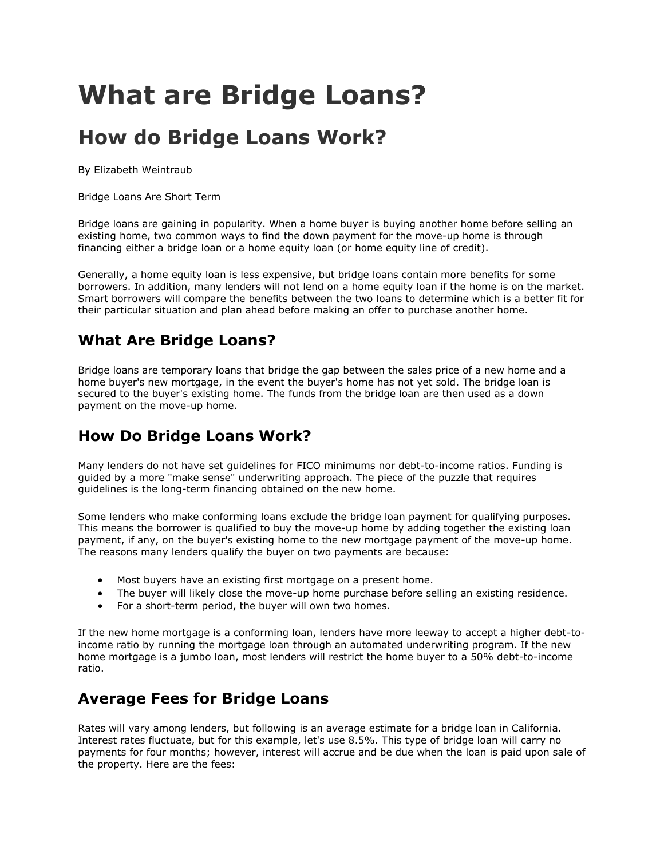# **What are Bridge Loans?**

## **How do Bridge Loans Work?**

By Elizabeth Weintraub

Bridge Loans Are Short Term

Bridge loans are gaining in popularity. When a home buyer is buying another home before selling an existing home, two common ways to [find the down payment](http://homebuying.about.com/od/buyingahome/qt/Downpayment.htm) for the move-up home is through financing either a bridge loan or a [home equity loan](http://homebuying.about.com/od/financingadvice/qt/Equityloans.htm) (or home equity line of credit).

Generally, a home equity loan is less expensive, but bridge loans contain more benefits for some borrowers. In addition, many lenders will not lend on a home equity loan if the home is on the market. Smart borrowers will compare the benefits between the two loans to determine which is a better fit for their particular situation and plan ahead before making an [offer to purchase](http://homebuying.about.com/od/offersnegotiations/tp/WriteOffers.htm) another home.

#### **What Are Bridge Loans?**

Bridge loans are temporary loans that bridge the gap between the sales price of a new home and a home buyer's new mortgage, in the event the buyer's home has not yet sold. The bridge loan is secured to the buyer's existing home. The funds from the bridge loan are then used as a down payment on the move-up home.

### **How Do Bridge Loans Work?**

Many lenders do not have set guidelines for [FICO](http://homebuying.about.com/od/glossaryf/g/FICO.htm) minimums nor [debt-to-income](http://homebuying.about.com/cs/mortgagearticles/a/debt_to_income.htm) ratios. Funding is guided by a more "make sense" [underwriting](http://homebuying.about.com/od/glossaryuthruz/g/Underwriters.htm) approach. The piece of the puzzle that requires guidelines is the long-term financing obtained on the new home.

Some lenders who make conforming loans exclude the bridge loan payment for qualifying purposes. This means the borrower is qualified to buy the move-up home by adding together the existing loan payment, if any, on the buyer's existing home to the new mortgage payment of the move-up home. The reasons many lenders qualify the buyer on two payments are because:

- Most buyers have an existing first mortgage on a present home.
- The buyer will likely close the move-up home purchase before selling an existing residence.
- For a short-term period, the buyer will own two homes.

If the new home mortgage is a conforming loan, lenders have more leeway to accept a higher debt-toincome ratio by running the mortgage loan through an automated underwriting program. If the new home mortgage is a jumbo loan, most lenders will restrict the home buyer to a 50% debt-to-income ratio.

#### **Average Fees for Bridge Loans**

Rates will vary among lenders, but following is an average estimate for a bridge loan in California. Interest rates fluctuate, but for this example, let's use 8.5%. This type of bridge loan will carry no payments for four months; however, interest will accrue and be due when the loan is paid upon sale of the property. Here are the fees: